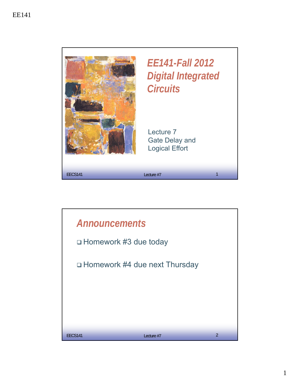

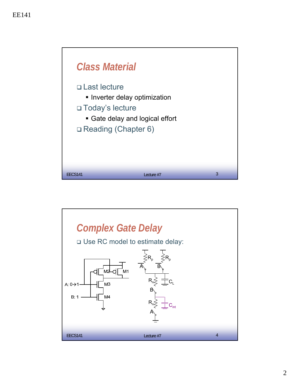

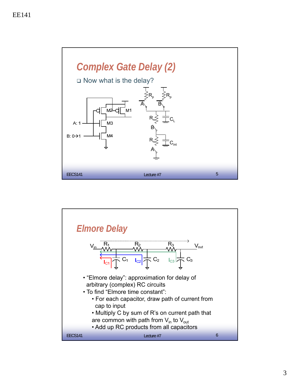

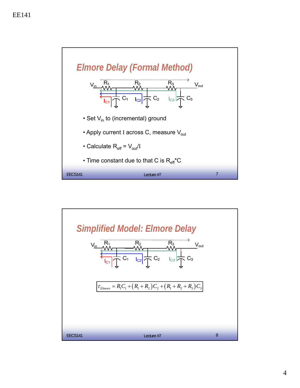

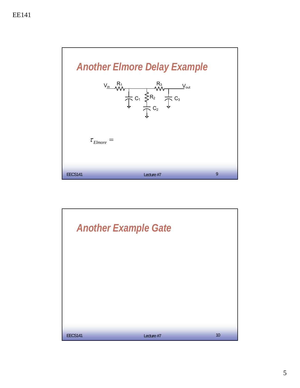

![](_page_4_Picture_2.jpeg)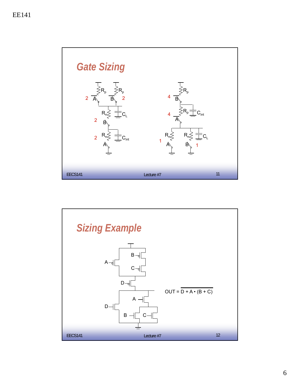![](_page_5_Figure_1.jpeg)

![](_page_5_Figure_2.jpeg)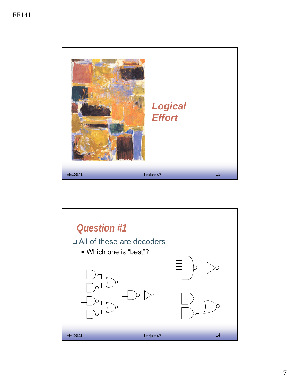![](_page_6_Picture_1.jpeg)

![](_page_6_Figure_2.jpeg)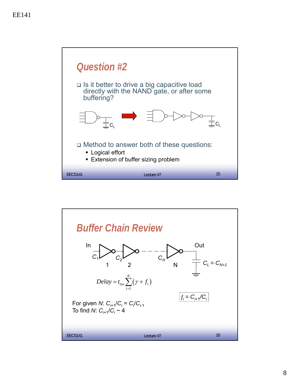![](_page_7_Figure_1.jpeg)

![](_page_7_Figure_2.jpeg)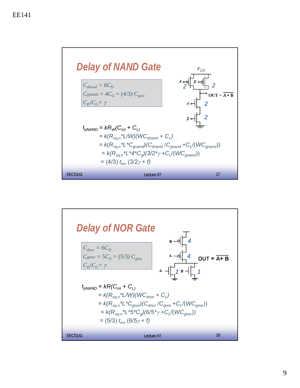![](_page_8_Figure_1.jpeg)

![](_page_8_Figure_2.jpeg)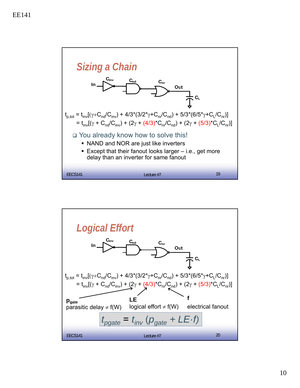![](_page_9_Figure_1.jpeg)

![](_page_9_Figure_2.jpeg)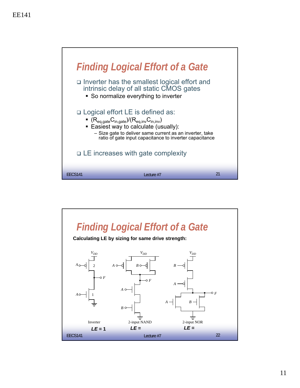![](_page_10_Figure_1.jpeg)

![](_page_10_Figure_2.jpeg)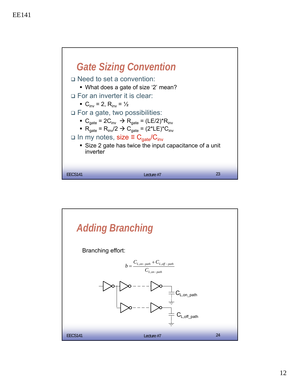![](_page_11_Figure_1.jpeg)

![](_page_11_Figure_2.jpeg)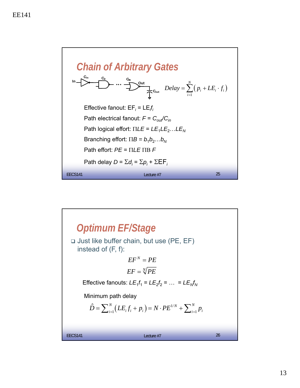![](_page_12_Figure_1.jpeg)

![](_page_12_Figure_2.jpeg)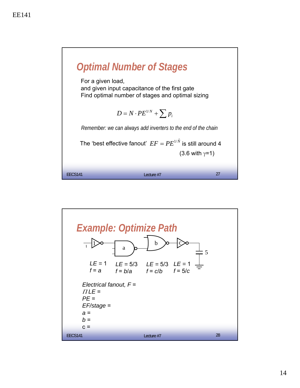![](_page_13_Figure_1.jpeg)

![](_page_13_Figure_2.jpeg)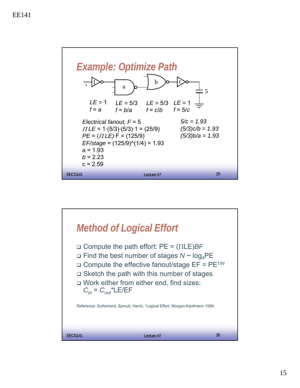![](_page_14_Figure_1.jpeg)

![](_page_14_Figure_2.jpeg)